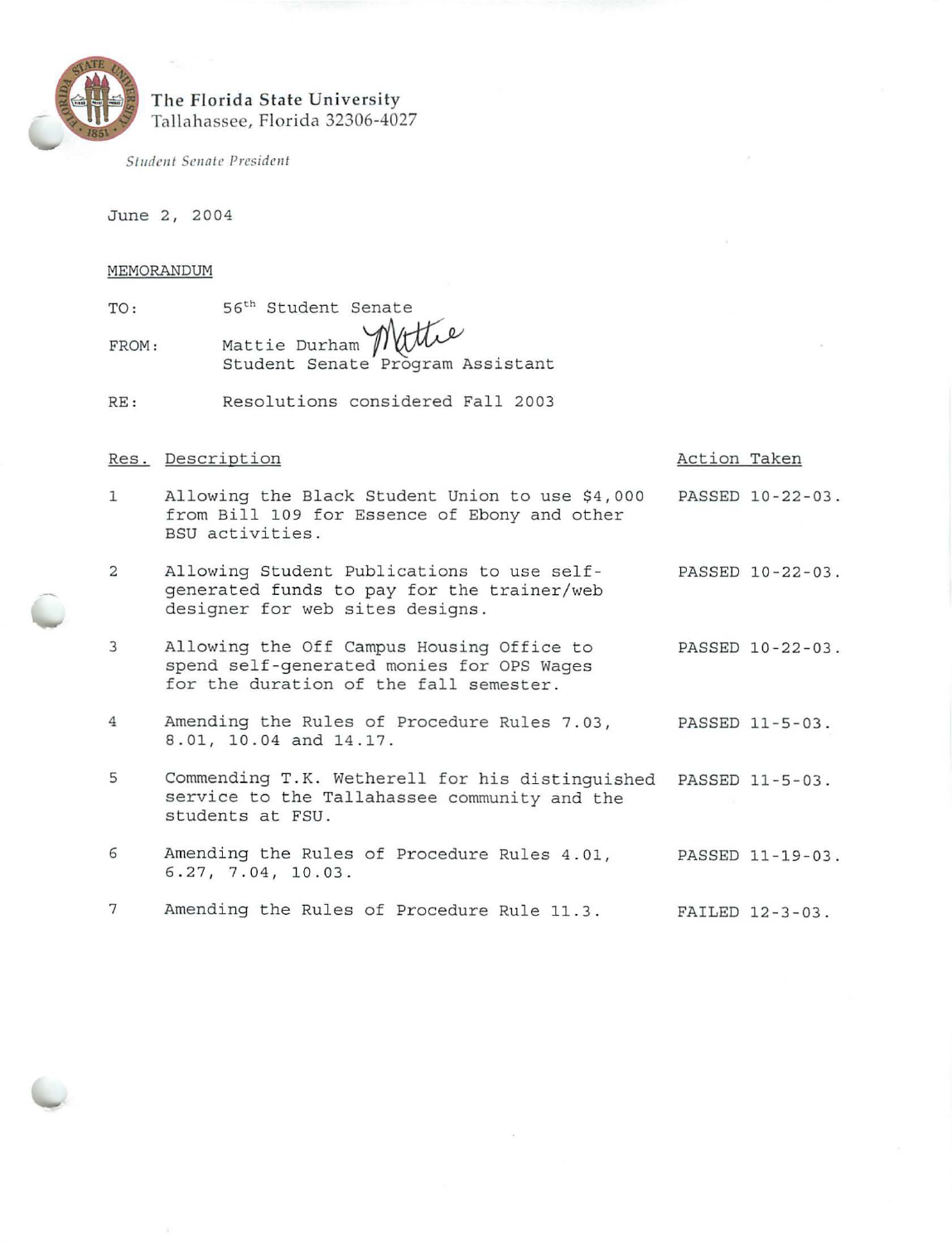

# The Florida State University Ta llah assee, Florida 32306-4027

 $Student$  Senate President

June 2, 2004

#### MEMORANDUM

| MERIORAINDON |                                                          |
|--------------|----------------------------------------------------------|
| TO:          | 56 <sup>th</sup> Student Senate                          |
| FROM:        | Mattie Durham Mittle<br>Student Senate Program Assistant |

RE: Resolutions considered Fall 2003

## Res. Description

#### Action Taken

- 1 Allowing the Black Student Union to use \$4,000 from Bill 109 for Essence of Ebony and other BSU activities. PASSED 10-22-03 .
- 2 Allowing Student Publications to use self- PASSED 10-22-03. generated funds to pay for the trainer/web designer for web sites designs.
- 3 Allowing the Off Campus Housing Office to PASSED 10-22-03. spend self-generated monies for OPS Wages for the duration of the fall semester.
- 4 Amending the Rules of Procedure Rules 7 . 03, PASSED 11-5-03 . 8 . 01, 10.04 and 14.17.
- 5 Commending T.K. Wetherell for his distinguished PASSED 11-5-03. service to the Tallahassee community and the students at FSU.
- 6 Amending the Rules of Procedure Rules 4.01, PASSED 11-19-03. 6 . 27 , 7 .04 , 10.03 .
- 7 Amending the Rules of Procedure Rule 11.3. FAILED 12-3-03.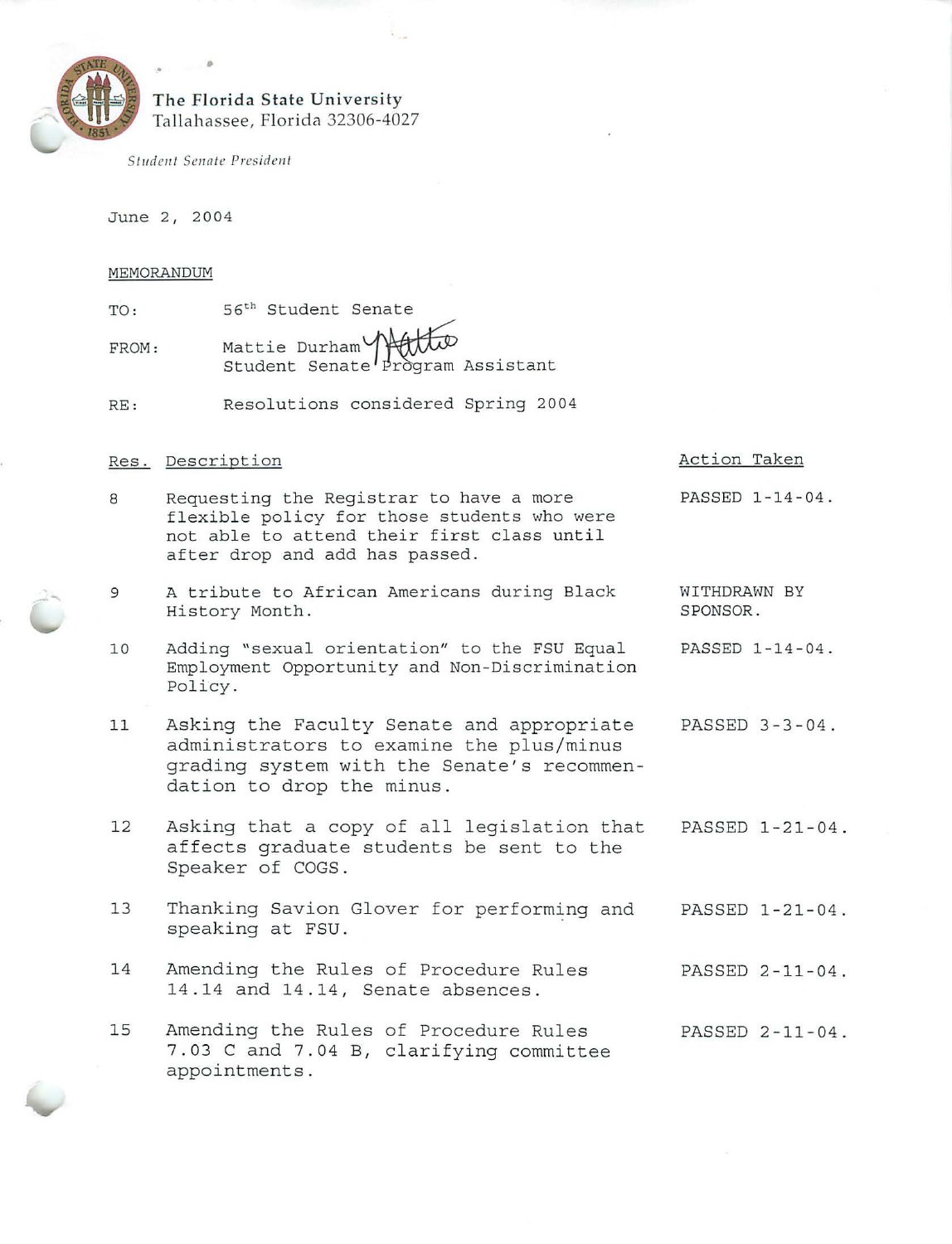

# **The Florida State University**  Tallahassee, Florida 32306-4027

*Student Senate President* 

•

June 2, 2004

### MEMORANDUM

- TO : FROM: 56<sup>th</sup> Student Senate Mattie Durham~ Student Senat~ ~ Assis tant
- RE: Resolutions considered Spring 2004

# Res. Descr iption

- 8 Requesting the Registrar to have a more flexible policy for those students who were not able to attend their first class until after drop and add has passed.
- 9 A tribute to African Americans during Black History Month .
- 10 Adding "sexual orientation" to the FSU Equal Employment Opportunity and Non - Discrimination Policy . PASSED 1 -14 -04.
- 11 Asking the Faculty Senate and appropriate administrators to examine the plus/minus grading system with the Senate's recommendation to drop the minus . PASSED 3-3 -04.
- 12 Asking that a copy of all legislation that affects graduate students be sent to the Speaker of COGS. PASSED 1-21-04.
- 13 Thanking Savion Glover for performing and spe aking at FSU . PASSED 1-21- 04 .
- 14 Amending the Rules of Procedure Rules 14 .14 and 14 .14, Senate absences . PASSED 2-11 -04 .
- 15 Amending the Rules of Procedure Rules 7.03 C and 7.04 B, clarifying committee appointments . PASSED 2-11 -04.

## Action Taken

WITHDRAWN BY SPONSOR .

PASSED 1-14 -04 .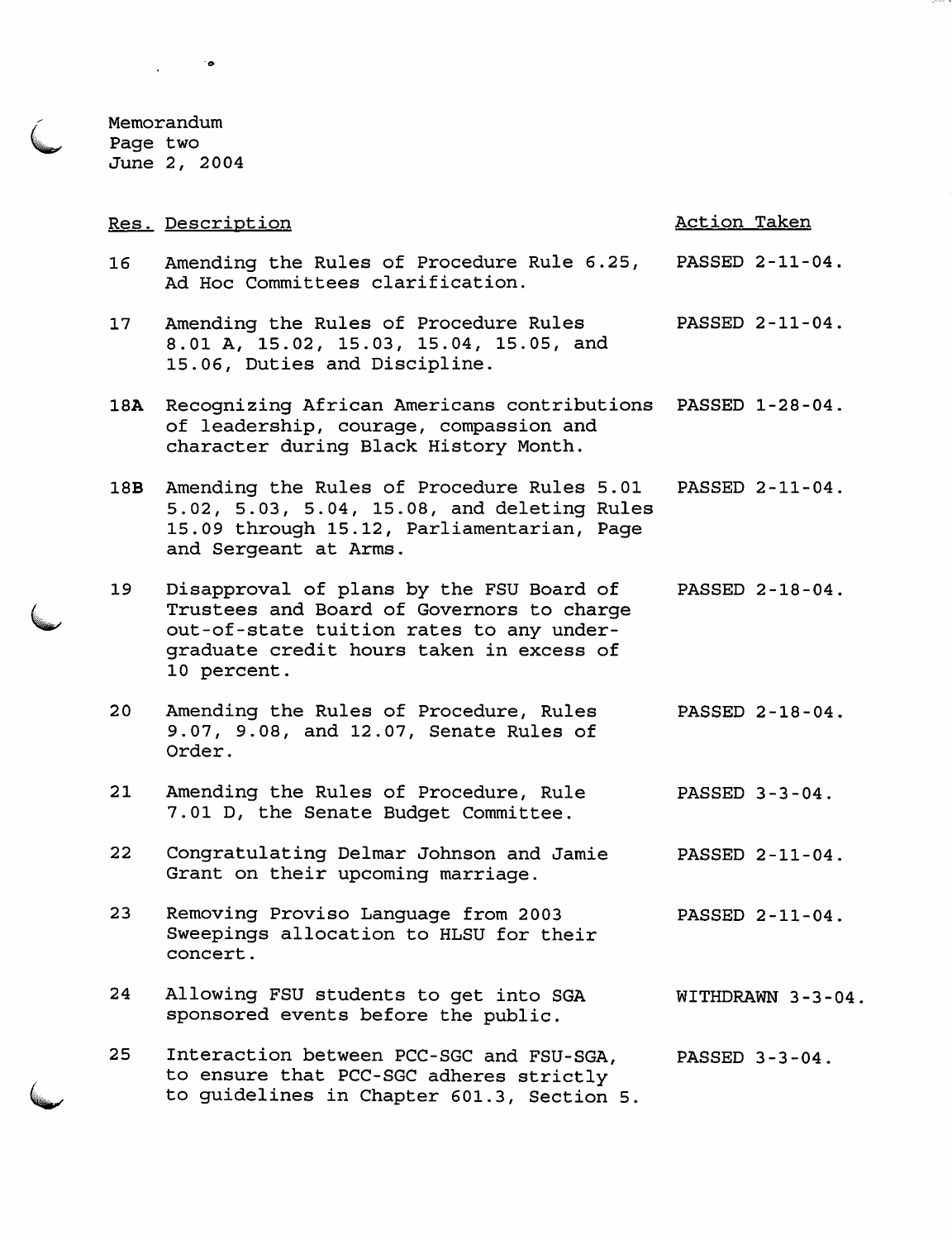Memorandum Page two June 2, 2004

 $\mathcal{L}(\mathbf{p})$ 

|                 | Res. Description                                                                                                                                                                             | <b>Action Taken</b> |
|-----------------|----------------------------------------------------------------------------------------------------------------------------------------------------------------------------------------------|---------------------|
| 16              | Amending the Rules of Procedure Rule 6.25,<br>Ad Hoc Committees clarification.                                                                                                               | PASSED 2-11-04.     |
| 17 <sub>2</sub> | Amending the Rules of Procedure Rules<br>8.01 A, 15.02, 15.03, 15.04, 15.05, and<br>15.06, Duties and Discipline.                                                                            | PASSED 2-11-04.     |
| 18A             | Recognizing African Americans contributions<br>of leadership, courage, compassion and<br>character during Black History Month.                                                               | PASSED 1-28-04.     |
| 18B             | Amending the Rules of Procedure Rules 5.01<br>5.02, 5.03, 5.04, 15.08, and deleting Rules<br>15.09 through 15.12, Parliamentarian, Page<br>and Sergeant at Arms.                             | PASSED 2-11-04.     |
| 19              | Disapproval of plans by the FSU Board of<br>Trustees and Board of Governors to charge<br>out-of-state tuition rates to any under-<br>graduate credit hours taken in excess of<br>10 percent. | PASSED 2-18-04.     |
| 20 <sub>o</sub> | Amending the Rules of Procedure, Rules<br>9.07, 9.08, and 12.07, Senate Rules of<br>Order.                                                                                                   | PASSED 2-18-04.     |
| 21              | Amending the Rules of Procedure, Rule<br>7.01 D, the Senate Budget Committee.                                                                                                                | PASSED 3-3-04.      |
| 22              | Congratulating Delmar Johnson and Jamie<br>Grant on their upcoming marriage.                                                                                                                 | PASSED 2-11-04.     |
| 23              | Removing Proviso Language from 2003<br>Sweepings allocation to HLSU for their<br>concert.                                                                                                    | PASSED 2-11-04.     |
| 24              | Allowing FSU students to get into SGA<br>sponsored events before the public.                                                                                                                 | WITHDRAWN 3-3-04.   |
| 25              | Interaction between PCC-SGC and FSU-SGA,<br>to ensure that PCC-SGC adheres strictly<br>to guidelines in Chapter 601.3, Section 5.                                                            | PASSED 3-3-04.      |

 $\mathcal{L}^{\pm}$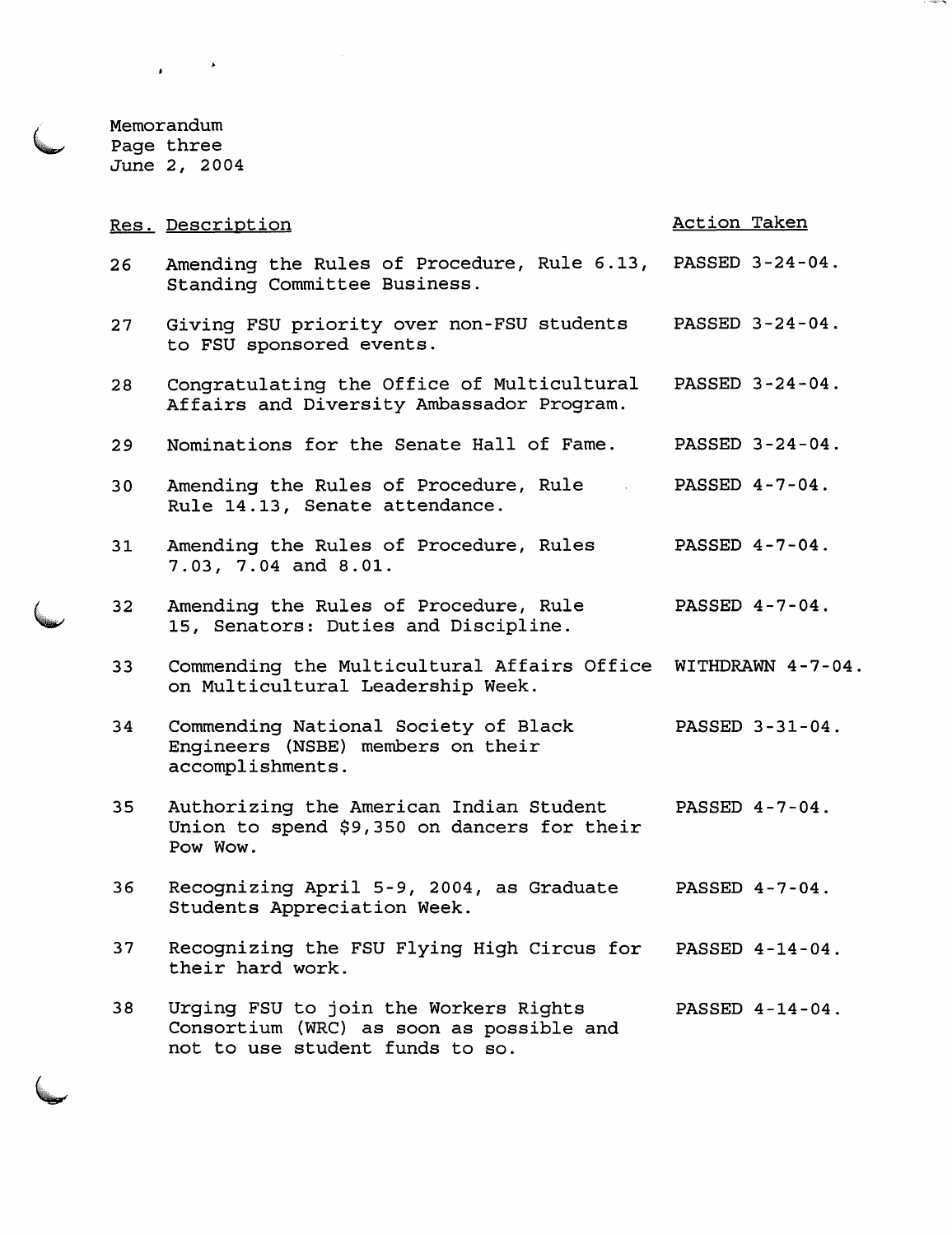Memorandum Page three June 2, 2004

 $\label{eq:2.1} \begin{array}{l} \mathbf{y} & \mathbf{y} \\ \mathbf{y} & \mathbf{y} \end{array}$ 

|                 | Res. Description                                                                                   | Action Taken      |
|-----------------|----------------------------------------------------------------------------------------------------|-------------------|
| 26 <sub>2</sub> | Amending the Rules of Procedure, Rule 6.13, PASSED 3-24-04.<br>Standing Committee Business.        |                   |
| 27              | Giving FSU priority over non-FSU students<br>to FSU sponsored events.                              | PASSED 3-24-04.   |
| 28              | Congratulating the Office of Multicultural<br>Affairs and Diversity Ambassador Program.            | PASSED 3-24-04.   |
| 29              | Nominations for the Senate Hall of Fame.                                                           | PASSED 3-24-04.   |
| 30              | Amending the Rules of Procedure, Rule<br>Rule 14.13, Senate attendance.                            | PASSED 4-7-04.    |
| 31              | Amending the Rules of Procedure, Rules<br>7.03, 7.04 and 8.01.                                     | PASSED 4-7-04.    |
| 32              | Amending the Rules of Procedure, Rule<br>15, Senators: Duties and Discipline.                      | PASSED 4-7-04.    |
|                 |                                                                                                    |                   |
| 33 <sup>°</sup> | Commending the Multicultural Affairs Office<br>on Multicultural Leadership Week.                   | WITHDRAWN 4-7-04. |
| 34              | Commending National Society of Black<br>Engineers (NSBE) members on their<br>accomplishments.      | PASSED 3-31-04.   |
| 35 <sub>1</sub> | Authorizing the American Indian Student<br>Union to spend \$9,350 on dancers for their<br>Pow Wow. | PASSED 4-7-04.    |
| 36              | Recognizing April 5-9, 2004, as Graduate<br>Students Appreciation Week.                            | PASSED 4-7-04.    |
| 37              | Recognizing the FSU Flying High Circus for<br>their hard work.                                     | PASSED 4-14-04.   |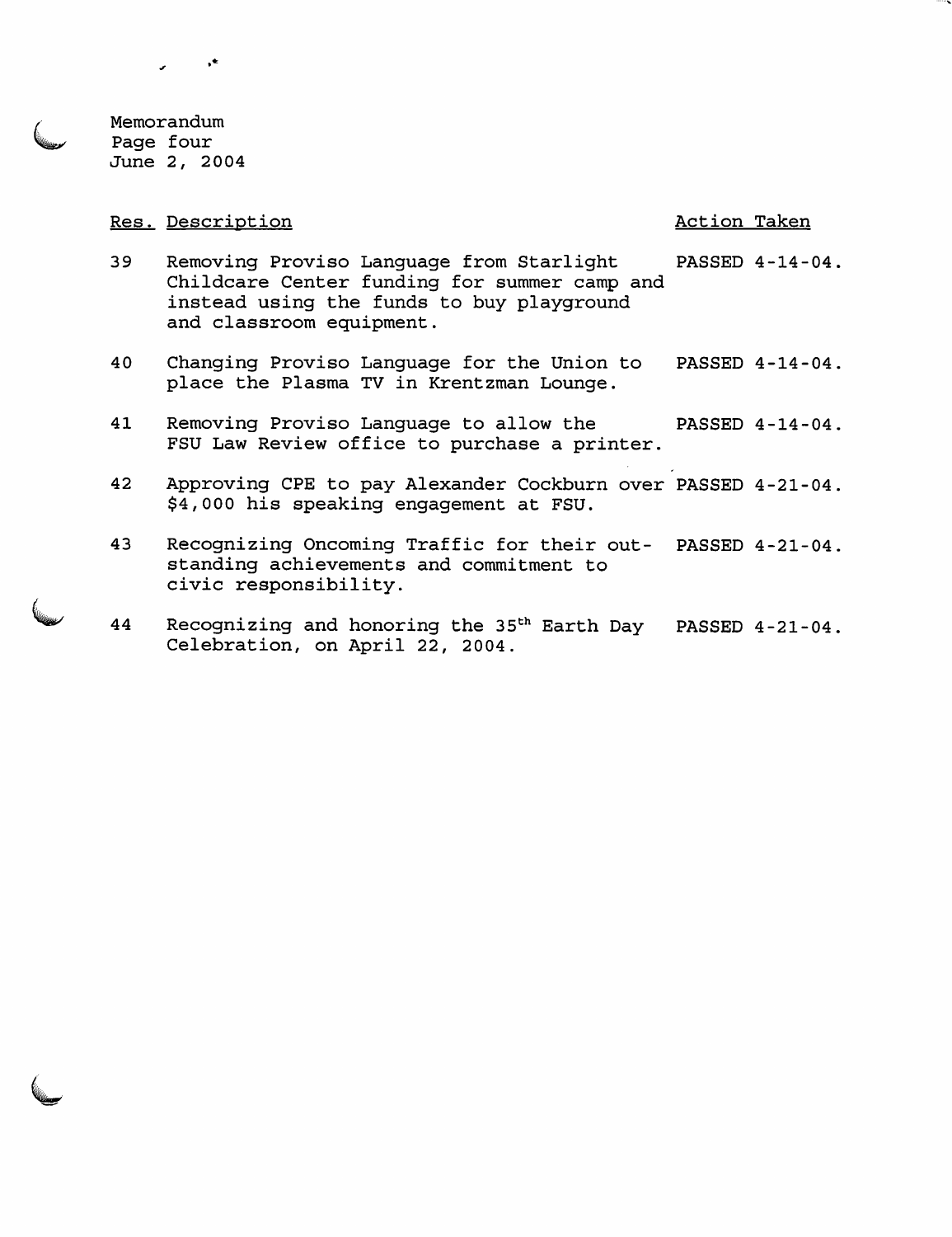Memorandum Page four June 2, 2004

 $\subset$ 

### Res. Description and the contraction of the contraction of the Action Taken

 $\star^\star$ 

- 39 Removing Proviso Language from Starlight PASSED 4-14-04. Childcare Center funding for summer camp and instead using the funds to buy playground and classroom equipment.
- 40 Changing Proviso Language for the Union to PASSED 4-14-04. place the Plasma TV in Krentzman Lounge.
- 41 Removing Proviso Language to allow the PASSED 4-14-04. FSU Law Review office to purchase a printer.
- 42 Approving CPE to pay Alexander Cockburn over PASSED 4-21-04. \$4,000 his speaking engagement at FSU.
- 43 Recognizing Oncoming Traffic for their out- PASSED 4-21-04. standing achievements and commitment to civic responsibility.
- 44 Recognizing and honoring the 35<sup>th</sup> Earth Day PASSED 4-21-04. Celebration, on April 22, 2004.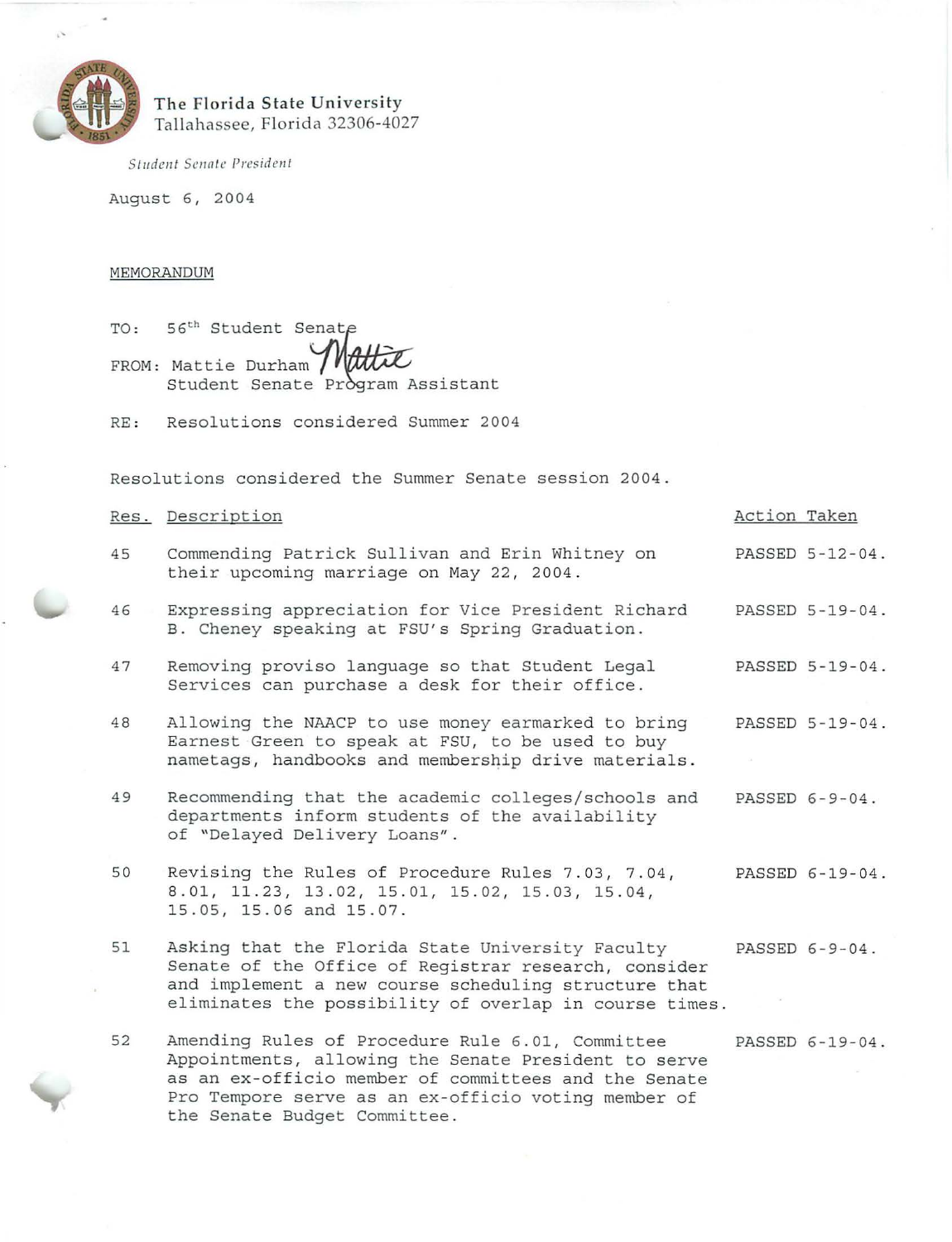

. '

# **The Florida State U nive rsity**  Tallahassee, Florida 32306-4027

*Student Senntc President* 

August 6, 2004

# MEMORANDUM

TO: 56<sup>th</sup> Student Senate FROM: Mattie Durham Matti Student Senate Program Assistant

RE: Resolutions considered Summer 2004

Resolutions considered the Summer Senate session 2004.

|    | Res. Description                                                                                                                                                                                                                                        | Action Taken |                 |
|----|---------------------------------------------------------------------------------------------------------------------------------------------------------------------------------------------------------------------------------------------------------|--------------|-----------------|
| 45 | Commending Patrick Sullivan and Erin Whitney on<br>their upcoming marriage on May 22, 2004.                                                                                                                                                             |              | PASSED 5-12-04. |
| 46 | Expressing appreciation for Vice President Richard<br>B. Cheney speaking at FSU's Spring Graduation.                                                                                                                                                    |              | PASSED 5-19-04. |
| 47 | Removing proviso language so that Student Legal<br>Services can purchase a desk for their office.                                                                                                                                                       |              | PASSED 5-19-04. |
| 48 | Allowing the NAACP to use money earmarked to bring<br>Earnest Green to speak at FSU, to be used to buy<br>nametags, handbooks and membership drive materials.                                                                                           |              | PASSED 5-19-04. |
| 49 | Recommending that the academic colleges/schools and<br>departments inform students of the availability<br>of "Delayed Delivery Loans".                                                                                                                  |              | PASSED 6-9-04.  |
| 50 | Revising the Rules of Procedure Rules 7.03, 7.04,<br>8.01, 11.23, 13.02, 15.01, 15.02, 15.03, 15.04,<br>15.05, 15.06 and 15.07.                                                                                                                         |              | PASSED 6-19-04. |
| 51 | Asking that the Florida State University Faculty<br>Senate of the Office of Registrar research, consider<br>and implement a new course scheduling structure that<br>eliminates the possibility of overlap in course times.                              |              | PASSED 6-9-04.  |
| 52 | Amending Rules of Procedure Rule 6.01, Committee<br>Appointments, allowing the Senate President to serve<br>as an ex-officio member of committees and the Senate<br>Pro Tempore serve as an ex-officio voting member of<br>the Senate Budget Committee. |              | PASSED 6-19-04. |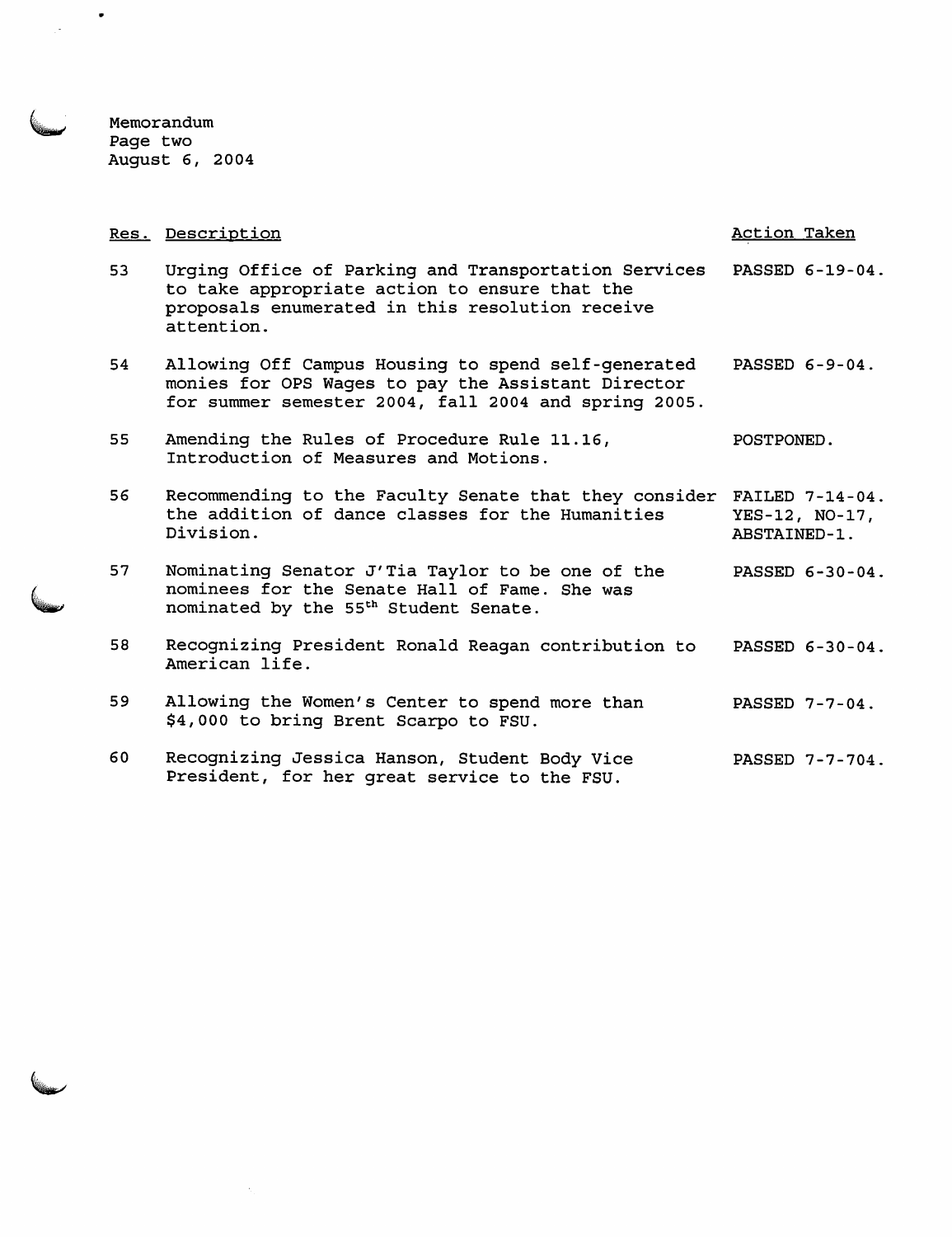Memorandum Page two August 6, 2004

 $\hat{\mathcal{N}}_1$ 

 $\bullet$ 

|    | Res. Description                                                                                                                                                       | Action Taken                                         |
|----|------------------------------------------------------------------------------------------------------------------------------------------------------------------------|------------------------------------------------------|
| 53 | Urging Office of Parking and Transportation Services<br>to take appropriate action to ensure that the<br>proposals enumerated in this resolution receive<br>attention. | PASSED 6-19-04.                                      |
| 54 | Allowing Off Campus Housing to spend self-generated<br>monies for OPS Wages to pay the Assistant Director<br>for summer semester 2004, fall 2004 and spring 2005.      | PASSED 6-9-04.                                       |
| 55 | Amending the Rules of Procedure Rule 11.16,<br>Introduction of Measures and Motions.                                                                                   | POSTPONED.                                           |
| 56 | Recommending to the Faculty Senate that they consider<br>the addition of dance classes for the Humanities<br>Division.                                                 | FAILED $7-14-04$ .<br>YES-12, NO-17,<br>ABSTAINED-1. |
| 57 | Nominating Senator J'Tia Taylor to be one of the<br>nominees for the Senate Hall of Fame. She was<br>nominated by the 55 <sup>th</sup> Student Senate.                 | PASSED 6-30-04.                                      |
| 58 | Recognizing President Ronald Reagan contribution to<br>American life.                                                                                                  | PASSED 6-30-04.                                      |
| 59 | Allowing the Women's Center to spend more than<br>\$4,000 to bring Brent Scarpo to FSU.                                                                                | PASSED 7-7-04.                                       |
| 60 | Recognizing Jessica Hanson, Student Body Vice<br>President, for her great service to the FSU.                                                                          | PASSED 7-7-704.                                      |